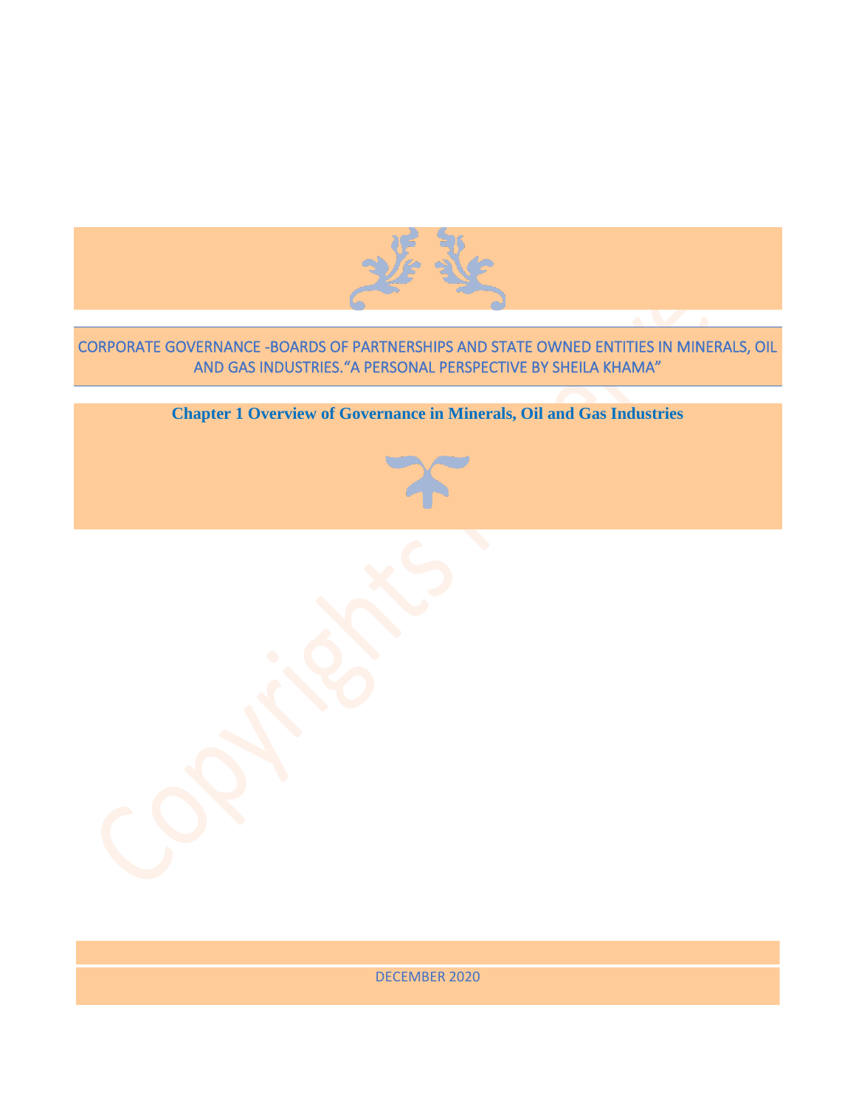

# CORPORATE GOVERNANCE -BOARDS OF PARTNERSHIPS AND STATE OWNED ENTITIES IN MINERALS, OIL AND GAS INDUSTRIES."A PERSONAL PERSPECTIVE BY SHEILA KHAMA"

**Chapter 1 Overview of Governance in Minerals, Oil and Gas Industries**

DECEMBER 2020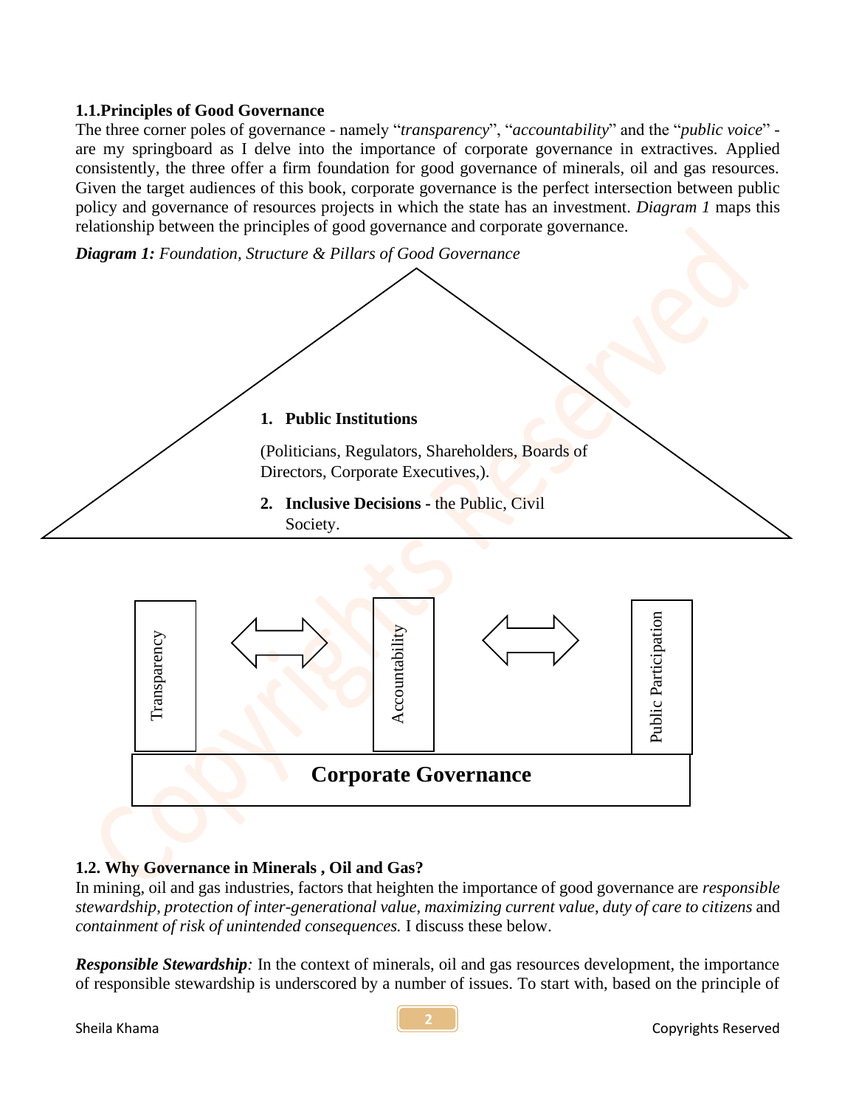#### **1.1.Principles of Good Governance**

The three corner poles of governance - namely "*transparency*", "*accountability*" and the "*public voice*" are my springboard as I delve into the importance of corporate governance in extractives. Applied consistently, the three offer a firm foundation for good governance of minerals, oil and gas resources. Given the target audiences of this book, corporate governance is the perfect intersection between public policy and governance of resources projects in which the state has an investment. *Diagram 1* maps this relationship between the principles of good governance and corporate governance.

*Diagram 1: Foundation, Structure & Pillars of Good Governance*



# Public Participation Public Participation **Accountability Transparency** Transparency **Corporate Governance**

## **1.2. Why Governance in Minerals , Oil and Gas?**

In mining, oil and gas industries, factors that heighten the importance of good governance are *responsible stewardship*, *protection of inter-generational value*, *maximizing current value*, *duty of care to citizens* and *containment of risk of unintended consequences.* I discuss these below.

*Responsible Stewardship:* In the context of minerals, oil and gas resources development, the importance of responsible stewardship is underscored by a number of issues. To start with, based on the principle of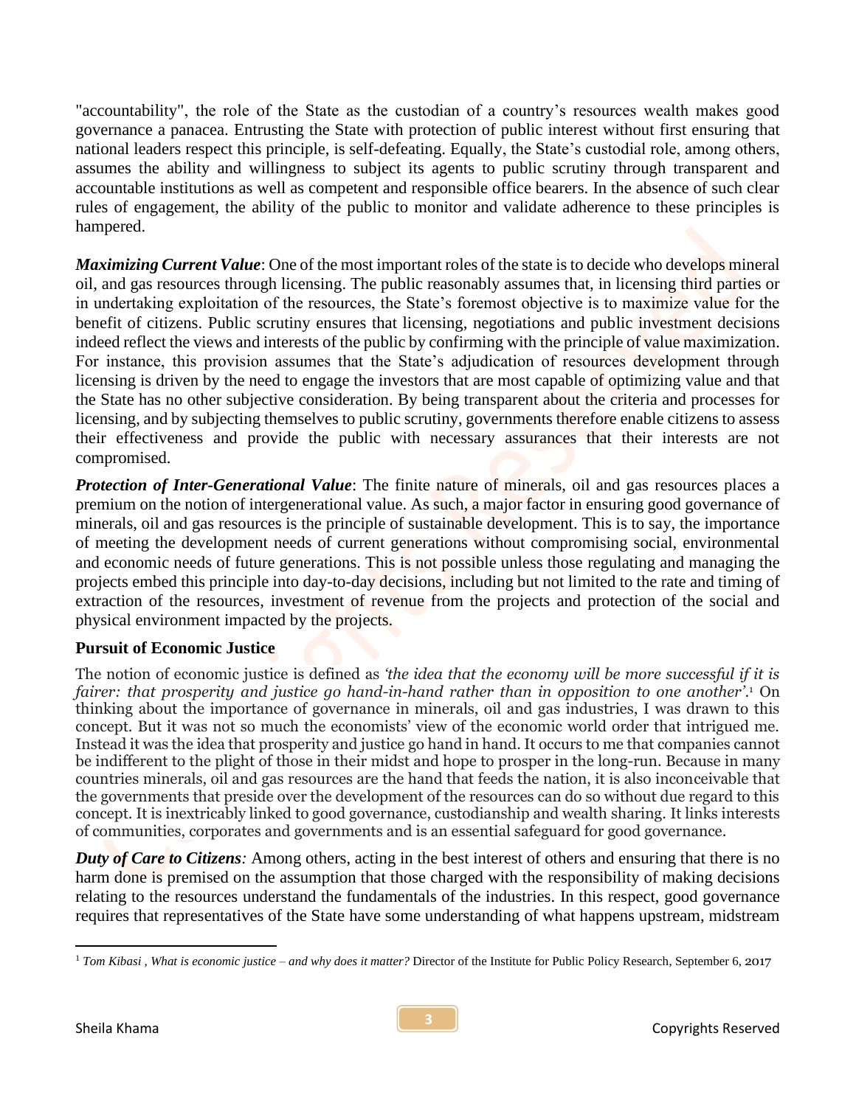"accountability", the role of the State as the custodian of a country's resources wealth makes good governance a panacea. Entrusting the State with protection of public interest without first ensuring that national leaders respect this principle, is self-defeating. Equally, the State's custodial role, among others, assumes the ability and willingness to subject its agents to public scrutiny through transparent and accountable institutions as well as competent and responsible office bearers. In the absence of such clear rules of engagement, the ability of the public to monitor and validate adherence to these principles is hampered.

*Maximizing Current Value*: One of the most important roles of the state is to decide who develops mineral oil, and gas resources through licensing. The public reasonably assumes that, in licensing third parties or in undertaking exploitation of the resources, the State's foremost objective is to maximize value for the benefit of citizens. Public scrutiny ensures that licensing, negotiations and public investment decisions indeed reflect the views and interests of the public by confirming with the principle of value maximization. For instance, this provision assumes that the State's adjudication of resources development through licensing is driven by the need to engage the investors that are most capable of optimizing value and that the State has no other subjective consideration. By being transparent about the criteria and processes for licensing, and by subjecting themselves to public scrutiny, governments therefore enable citizens to assess their effectiveness and provide the public with necessary assurances that their interests are not compromised.

**Protection of Inter-Generational Value**: The finite nature of minerals, oil and gas resources places a premium on the notion of intergenerational value. As such, a major factor in ensuring good governance of minerals, oil and gas resources is the principle of sustainable development. This is to say, the importance of meeting the development needs of current generations without compromising social, environmental and economic needs of future generations. This is not possible unless those regulating and managing the projects embed this principle into day-to-day decisions, including but not limited to the rate and timing of extraction of the resources, investment of revenue from the projects and protection of the social and physical environment impacted by the projects.

## **Pursuit of Economic Justice**

The notion of economic justice is defined as *'the idea that the economy will be more successful if it is fairer: that prosperity and justice go hand-in-hand rather than in opposition to one another'*. <sup>1</sup> On thinking about the importance of governance in minerals, oil and gas industries, I was drawn to this concept. But it was not so much the economists' view of the economic world order that intrigued me. Instead it was the idea that prosperity and justice go hand in hand. It occurs to me that companies cannot be indifferent to the plight of those in their midst and hope to prosper in the long-run. Because in many countries minerals, oil and gas resources are the hand that feeds the nation, it is also inconceivable that the governments that preside over the development of the resources can do so without due regard to this concept. It is inextricably linked to good governance, custodianship and wealth sharing. It links interests of communities, corporates and governments and is an essential safeguard for good governance.

*Duty of Care to Citizens:* Among others, acting in the best interest of others and ensuring that there is no harm done is premised on the assumption that those charged with the responsibility of making decisions relating to the resources understand the fundamentals of the industries. In this respect, good governance requires that representatives of the State have some understanding of what happens upstream, midstream

<sup>&</sup>lt;sup>1</sup> Tom Kibasi, What is economic justice – and why does it matter? Director of the Institute for Public Policy Research, September 6, 2017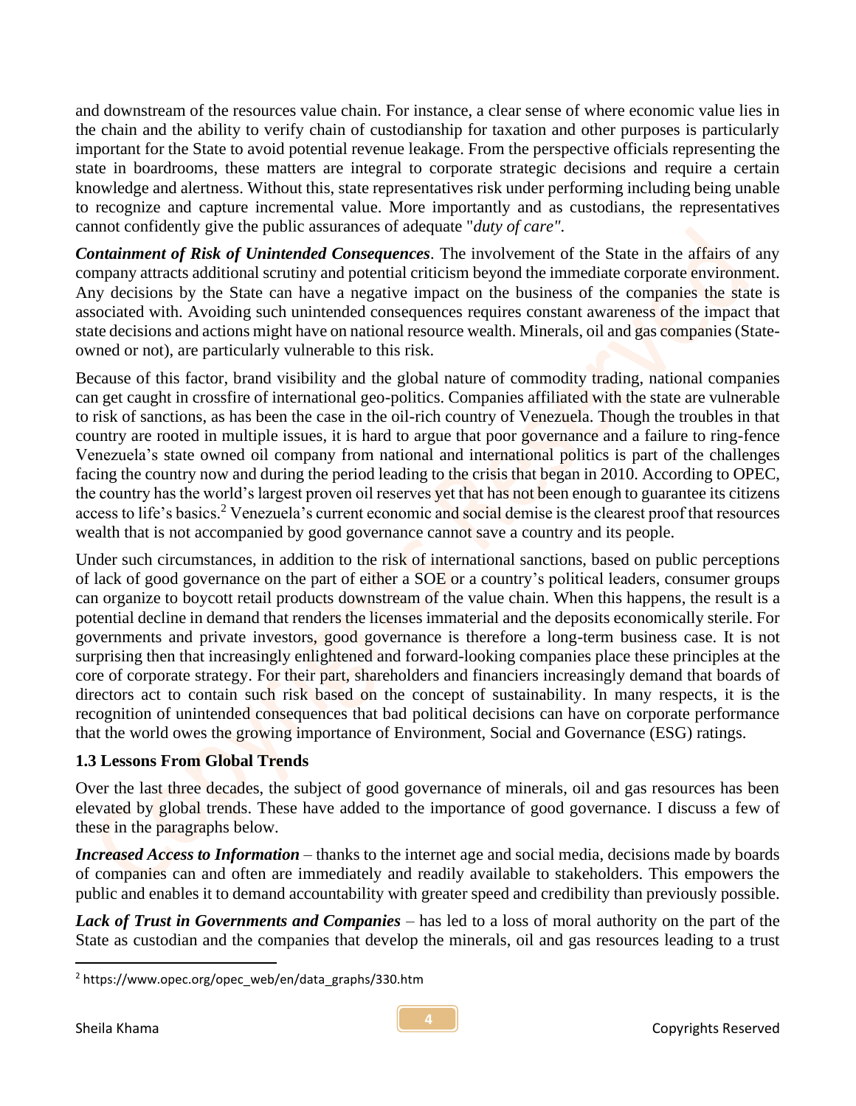and downstream of the resources value chain. For instance, a clear sense of where economic value lies in the chain and the ability to verify chain of custodianship for taxation and other purposes is particularly important for the State to avoid potential revenue leakage. From the perspective officials representing the state in boardrooms, these matters are integral to corporate strategic decisions and require a certain knowledge and alertness. Without this, state representatives risk under performing including being unable to recognize and capture incremental value. More importantly and as custodians, the representatives cannot confidently give the public assurances of adequate "*duty of care"*.

*Containment of Risk of Unintended Consequences.* The involvement of the State in the affairs of any company attracts additional scrutiny and potential criticism beyond the immediate corporate environment. Any decisions by the State can have a negative impact on the business of the companies the state is associated with. Avoiding such unintended consequences requires constant awareness of the impact that state decisions and actions might have on national resource wealth. Minerals, oil and gas companies (Stateowned or not), are particularly vulnerable to this risk.

Because of this factor, brand visibility and the global nature of commodity trading, national companies can get caught in crossfire of international geo-politics. Companies affiliated with the state are vulnerable to risk of sanctions, as has been the case in the oil-rich country of Venezuela. Though the troubles in that country are rooted in multiple issues, it is hard to argue that poor governance and a failure to ring-fence Venezuela's state owned oil company from national and international politics is part of the challenges facing the country now and during the period leading to the crisis that began in 2010. According to OPEC, the country has the world's largest proven oil reserves yet that has not been enough to guarantee its citizens access to life's basics.<sup>2</sup> Venezuela's current economic and social demise is the clearest proof that resources wealth that is not accompanied by good governance cannot save a country and its people.

Under such circumstances, in addition to the risk of international sanctions, based on public perceptions of lack of good governance on the part of either a SOE or a country's political leaders, consumer groups can organize to boycott retail products downstream of the value chain. When this happens, the result is a potential decline in demand that renders the licenses immaterial and the deposits economically sterile. For governments and private investors, good governance is therefore a long-term business case. It is not surprising then that increasingly enlightened and forward-looking companies place these principles at the core of corporate strategy. For their part, shareholders and financiers increasingly demand that boards of directors act to contain such risk based on the concept of sustainability. In many respects, it is the recognition of unintended consequences that bad political decisions can have on corporate performance that the world owes the growing importance of Environment, Social and Governance (ESG) ratings.

## **1.3 Lessons From Global Trends**

Over the last three decades, the subject of good governance of minerals, oil and gas resources has been elevated by global trends. These have added to the importance of good governance. I discuss a few of these in the paragraphs below.

*Increased Access to Information* – thanks to the internet age and social media, decisions made by boards of companies can and often are immediately and readily available to stakeholders. This empowers the public and enables it to demand accountability with greater speed and credibility than previously possible.

*Lack of Trust in Governments and Companies* – has led to a loss of moral authority on the part of the State as custodian and the companies that develop the minerals, oil and gas resources leading to a trust

<sup>2</sup> https://www.opec.org/opec\_web/en/data\_graphs/330.htm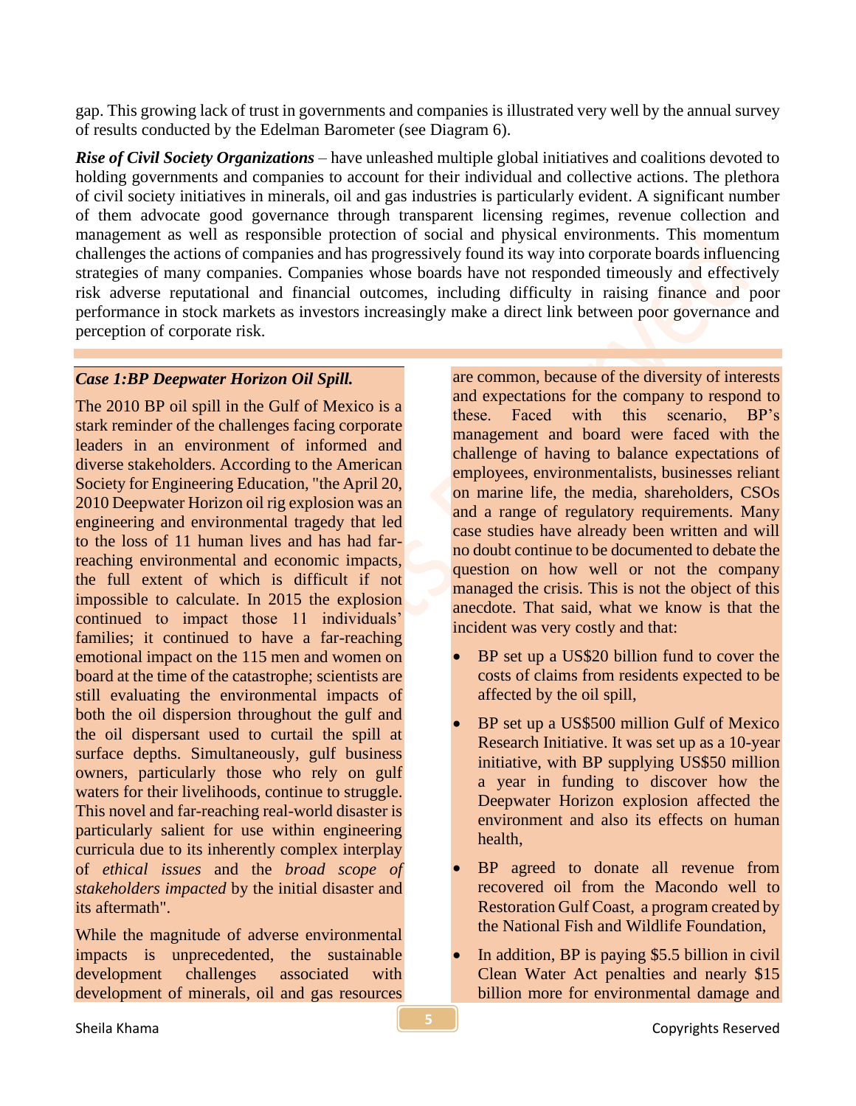gap. This growing lack of trust in governments and companies is illustrated very well by the annual survey of results conducted by the Edelman Barometer (see Diagram 6).

*Rise of Civil Society Organizations* – have unleashed multiple global initiatives and coalitions devoted to holding governments and companies to account for their individual and collective actions. The plethora of civil society initiatives in minerals, oil and gas industries is particularly evident. A significant number of them advocate good governance through transparent licensing regimes, revenue collection and management as well as responsible protection of social and physical environments. This momentum challenges the actions of companies and has progressively found its way into corporate boards influencing strategies of many companies. Companies whose boards have not responded timeously and effectively risk adverse reputational and financial outcomes, including difficulty in raising finance and poor performance in stock markets as investors increasingly make a direct link between poor governance and perception of corporate risk.

#### *Case 1:BP Deepwater Horizon Oil Spill.*

The 2010 BP oil spill in the Gulf of Mexico is a stark reminder of the challenges facing corporate leaders in an environment of informed and diverse stakeholders. According to the American Society for Engineering Education, "the April 20, 2010 Deepwater Horizon oil rig explosion was an engineering and environmental tragedy that led to the loss of 11 human lives and has had farreaching environmental and economic impacts, the full extent of which is difficult if not impossible to calculate. In 2015 the explosion continued to impact those 11 individuals' families; it continued to have a far-reaching emotional impact on the 115 men and women on board at the time of the catastrophe; scientists are still evaluating the environmental impacts of both the oil dispersion throughout the gulf and the oil dispersant used to curtail the spill at surface depths. Simultaneously, gulf business owners, particularly those who rely on gulf waters for their livelihoods, continue to struggle. This novel and far-reaching real-world disaster is particularly salient for use within engineering curricula due to its inherently complex interplay of *ethical issues* and the *broad scope of stakeholders impacted* by the initial disaster and its aftermath".

While the magnitude of adverse environmental impacts is unprecedented, the sustainable development challenges associated with development of minerals, oil and gas resources

are common, because of the diversity of interests and expectations for the company to respond to these. Faced with this scenario, BP's management and board were faced with the challenge of having to balance expectations of employees, environmentalists, businesses reliant on marine life, the media, shareholders, CSOs and a range of regulatory requirements. Many case studies have already been written and will no doubt continue to be documented to debate the question on how well or not the company managed the crisis. This is not the object of this anecdote. That said, what we know is that the incident was very costly and that:

- BP set up a US\$20 billion fund to cover the costs of claims from residents expected to be affected by the oil spill,
- BP set up a US\$500 million Gulf of Mexico Research Initiative. It was set up as a 10-year initiative, with BP supplying US\$50 million a year in funding to discover how the Deepwater Horizon explosion affected the environment and also its effects on human health,
- BP agreed to donate all revenue from recovered oil from the Macondo well to Restoration Gulf Coast, a program created by the National Fish and Wildlife Foundation,
- In addition, BP is paying \$5.5 billion in civil Clean Water Act penalties and nearly \$15 billion more for environmental damage and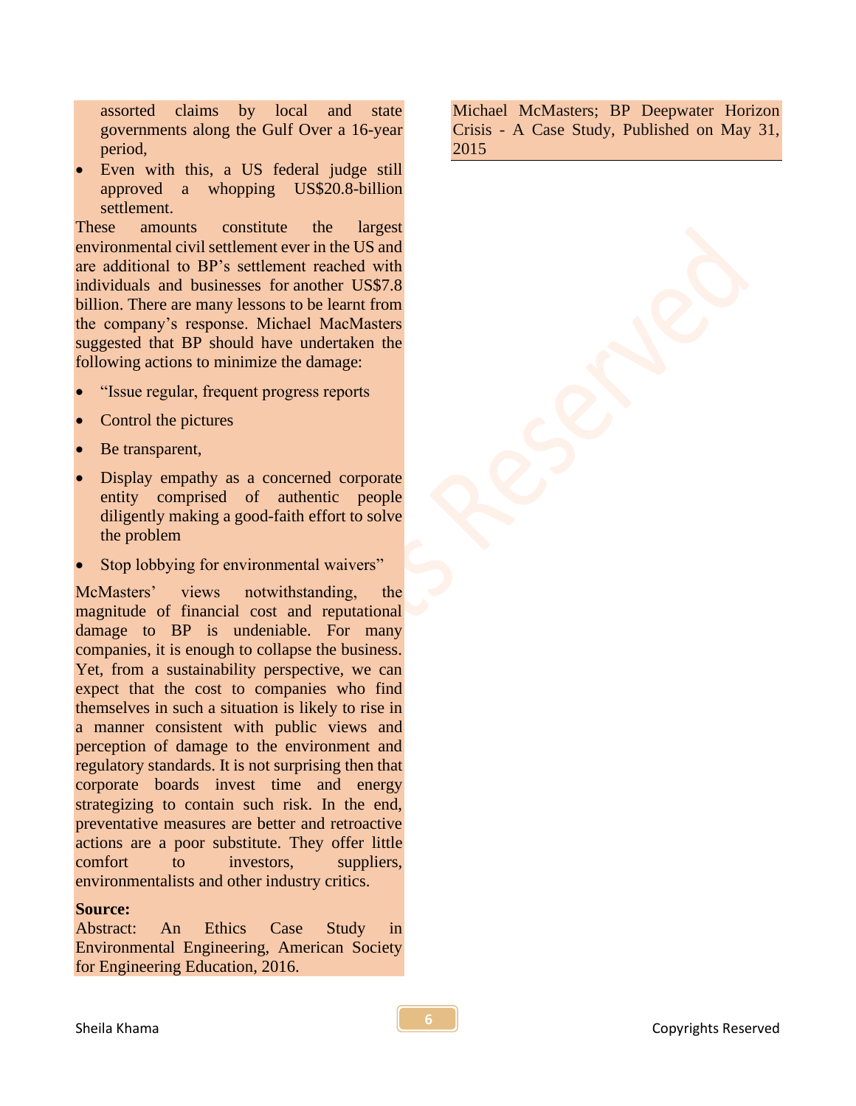assorted claims by local and state governments along the Gulf Over a 16-year period,

Even with this, a US federal judge still approved a whopping US\$20.8-billion settlement.

These amounts constitute the largest environmental civil settlement ever in the US and are additional to BP's settlement reached with individuals and businesses for another US\$7.8 billion. There are many lessons to be learnt from the company's response. Michael MacMasters suggested that BP should have undertaken the following actions to minimize the damage:

- "Issue regular, frequent progress reports
- Control the pictures
- Be transparent,
- Display empathy as a concerned corporate entity comprised of authentic people diligently making a good-faith effort to solve the problem
- Stop lobbying for environmental waivers"

McMasters' views notwithstanding, the magnitude of financial cost and reputational damage to BP is undeniable. For many companies, it is enough to collapse the business. Yet, from a sustainability perspective, we can expect that the cost to companies who find themselves in such a situation is likely to rise in a manner consistent with public views and perception of damage to the environment and regulatory standards. It is not surprising then that corporate boards invest time and energy strategizing to contain such risk. In the end, preventative measures are better and retroactive actions are a poor substitute. They offer little comfort to investors, suppliers, environmentalists and other industry critics.

#### **Source:**

Abstract: An Ethics Case Study in Environmental Engineering, American Society for Engineering Education, 2016.

Michael [McMasters;](https://www.linkedin.com/in/michael-mcmasters-38bb0014) BP Deepwater Horizon Crisis - A Case Study, Published on May 31, 2015